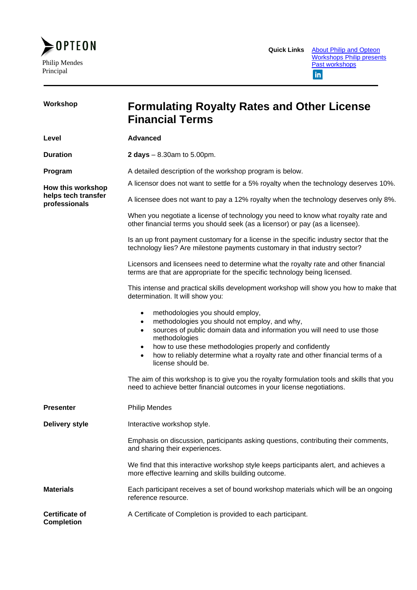

| Workshop                                   | <b>Formulating Royalty Rates and Other License</b><br><b>Financial Terms</b>                                                                                                                                                                                                                                                                                                                        |  |
|--------------------------------------------|-----------------------------------------------------------------------------------------------------------------------------------------------------------------------------------------------------------------------------------------------------------------------------------------------------------------------------------------------------------------------------------------------------|--|
| Level                                      | <b>Advanced</b>                                                                                                                                                                                                                                                                                                                                                                                     |  |
| <b>Duration</b>                            | <b>2 days</b> $- 8.30$ am to 5.00pm.                                                                                                                                                                                                                                                                                                                                                                |  |
| Program                                    | A detailed description of the workshop program is below.                                                                                                                                                                                                                                                                                                                                            |  |
| How this workshop                          | A licensor does not want to settle for a 5% royalty when the technology deserves 10%.                                                                                                                                                                                                                                                                                                               |  |
| helps tech transfer<br>professionals       | A licensee does not want to pay a 12% royalty when the technology deserves only 8%.                                                                                                                                                                                                                                                                                                                 |  |
|                                            | When you negotiate a license of technology you need to know what royalty rate and<br>other financial terms you should seek (as a licensor) or pay (as a licensee).                                                                                                                                                                                                                                  |  |
|                                            | Is an up front payment customary for a license in the specific industry sector that the<br>technology lies? Are milestone payments customary in that industry sector?                                                                                                                                                                                                                               |  |
|                                            | Licensors and licensees need to determine what the royalty rate and other financial<br>terms are that are appropriate for the specific technology being licensed.                                                                                                                                                                                                                                   |  |
|                                            | This intense and practical skills development workshop will show you how to make that<br>determination. It will show you:                                                                                                                                                                                                                                                                           |  |
|                                            | methodologies you should employ,<br>$\bullet$<br>methodologies you should not employ, and why,<br>$\bullet$<br>sources of public domain data and information you will need to use those<br>$\bullet$<br>methodologies<br>how to use these methodologies properly and confidently<br>how to reliably determine what a royalty rate and other financial terms of a<br>$\bullet$<br>license should be. |  |
|                                            | The aim of this workshop is to give you the royalty formulation tools and skills that you<br>need to achieve better financial outcomes in your license negotiations.                                                                                                                                                                                                                                |  |
| <b>Presenter</b>                           | <b>Philip Mendes</b>                                                                                                                                                                                                                                                                                                                                                                                |  |
| <b>Delivery style</b>                      | Interactive workshop style.                                                                                                                                                                                                                                                                                                                                                                         |  |
|                                            | Emphasis on discussion, participants asking questions, contributing their comments,<br>and sharing their experiences.                                                                                                                                                                                                                                                                               |  |
|                                            | We find that this interactive workshop style keeps participants alert, and achieves a<br>more effective learning and skills building outcome.                                                                                                                                                                                                                                                       |  |
| <b>Materials</b>                           | Each participant receives a set of bound workshop materials which will be an ongoing<br>reference resource.                                                                                                                                                                                                                                                                                         |  |
| <b>Certificate of</b><br><b>Completion</b> | A Certificate of Completion is provided to each participant.                                                                                                                                                                                                                                                                                                                                        |  |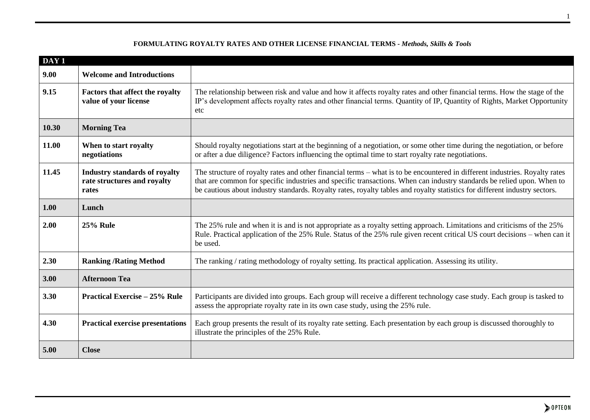| DAY <sub>1</sub> |                                                                              |                                                                                                                                                                                                                                                                                                                                                                                     |  |
|------------------|------------------------------------------------------------------------------|-------------------------------------------------------------------------------------------------------------------------------------------------------------------------------------------------------------------------------------------------------------------------------------------------------------------------------------------------------------------------------------|--|
| 9.00             | <b>Welcome and Introductions</b>                                             |                                                                                                                                                                                                                                                                                                                                                                                     |  |
| 9.15             | <b>Factors that affect the royalty</b><br>value of your license              | The relationship between risk and value and how it affects royalty rates and other financial terms. How the stage of the<br>IP's development affects royalty rates and other financial terms. Quantity of IP, Quantity of Rights, Market Opportunity<br>etc                                                                                                                         |  |
| 10.30            | <b>Morning Tea</b>                                                           |                                                                                                                                                                                                                                                                                                                                                                                     |  |
| 11.00            | When to start royalty<br>negotiations                                        | Should royalty negotiations start at the beginning of a negotiation, or some other time during the negotiation, or before<br>or after a due diligence? Factors influencing the optimal time to start royalty rate negotiations.                                                                                                                                                     |  |
| 11.45            | <b>Industry standards of royalty</b><br>rate structures and royalty<br>rates | The structure of royalty rates and other financial terms – what is to be encountered in different industries. Royalty rates<br>that are common for specific industries and specific transactions. When can industry standards be relied upon. When to<br>be cautious about industry standards. Royalty rates, royalty tables and royalty statistics for different industry sectors. |  |
| 1.00             | Lunch                                                                        |                                                                                                                                                                                                                                                                                                                                                                                     |  |
| 2.00             | <b>25% Rule</b>                                                              | The 25% rule and when it is and is not appropriate as a royalty setting approach. Limitations and criticisms of the 25%<br>Rule. Practical application of the 25% Rule. Status of the 25% rule given recent critical US court decisions – when can it<br>be used.                                                                                                                   |  |
| 2.30             | <b>Ranking / Rating Method</b>                                               | The ranking / rating methodology of royalty setting. Its practical application. Assessing its utility.                                                                                                                                                                                                                                                                              |  |
| 3.00             | <b>Afternoon Tea</b>                                                         |                                                                                                                                                                                                                                                                                                                                                                                     |  |
| 3.30             | <b>Practical Exercise - 25% Rule</b>                                         | Participants are divided into groups. Each group will receive a different technology case study. Each group is tasked to<br>assess the appropriate royalty rate in its own case study, using the 25% rule.                                                                                                                                                                          |  |
| 4.30             | <b>Practical exercise presentations</b>                                      | Each group presents the result of its royalty rate setting. Each presentation by each group is discussed thoroughly to<br>illustrate the principles of the 25% Rule.                                                                                                                                                                                                                |  |
| 5.00             | <b>Close</b>                                                                 |                                                                                                                                                                                                                                                                                                                                                                                     |  |

## **FORMULATING ROYALTY RATES AND OTHER LICENSE FINANCIAL TERMS -** *Methods, Skills & Tools*